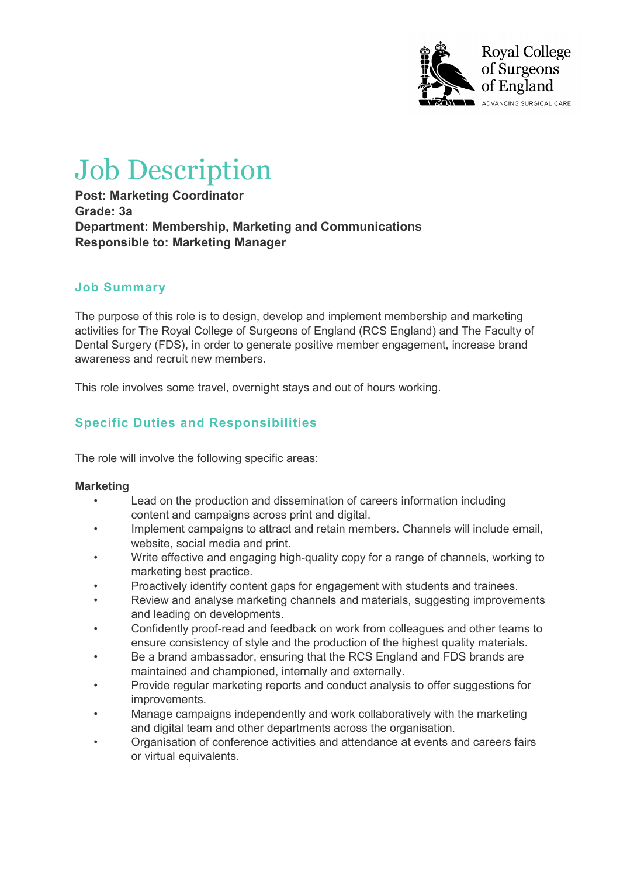

# Job Description

**Post: Marketing Coordinator Grade: 3a Department: Membership, Marketing and Communications Responsible to: Marketing Manager**

### **Job Summary**

The purpose of this role is to design, develop and implement membership and marketing activities for The Royal College of Surgeons of England (RCS England) and The Faculty of Dental Surgery (FDS), in order to generate positive member engagement, increase brand awareness and recruit new members.

This role involves some travel, overnight stays and out of hours working.

### **Specific Duties and Responsibilities**

The role will involve the following specific areas:

#### **Marketing**

- Lead on the production and dissemination of careers information including content and campaigns across print and digital.
- Implement campaigns to attract and retain members. Channels will include email, website, social media and print.
- Write effective and engaging high-quality copy for a range of channels, working to marketing best practice.
- Proactively identify content gaps for engagement with students and trainees.
- Review and analyse marketing channels and materials, suggesting improvements and leading on developments.
- Confidently proof-read and feedback on work from colleagues and other teams to ensure consistency of style and the production of the highest quality materials.
- Be a brand ambassador, ensuring that the RCS England and FDS brands are maintained and championed, internally and externally.
- Provide regular marketing reports and conduct analysis to offer suggestions for improvements.
- Manage campaigns independently and work collaboratively with the marketing and digital team and other departments across the organisation.
- Organisation of conference activities and attendance at events and careers fairs or virtual equivalents.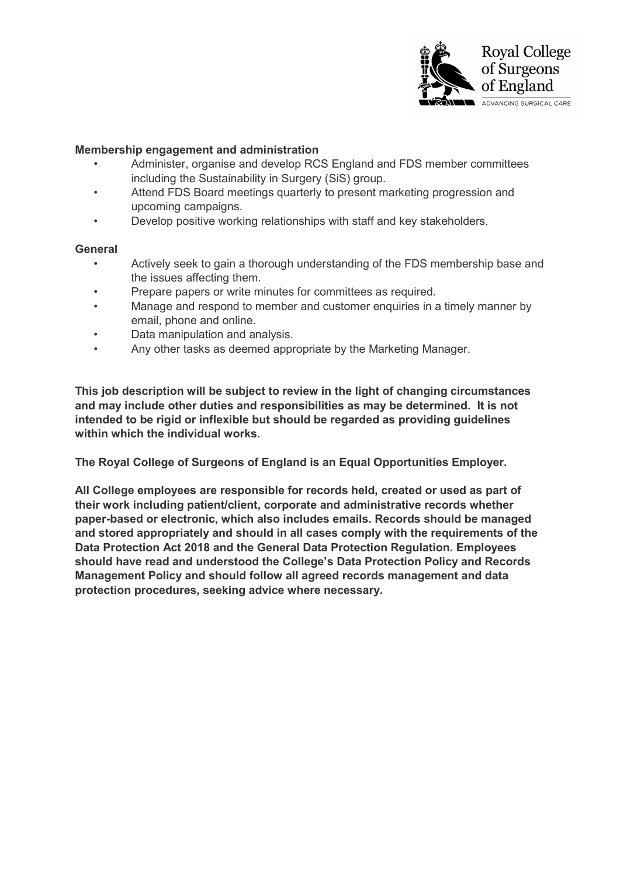

#### **Membership engagement and administration**

- Administer, organise and develop RCS England and FDS member committees including the Sustainability in Surgery (SiS) group.
- Attend FDS Board meetings quarterly to present marketing progression and upcoming campaigns.
- Develop positive working relationships with staff and key stakeholders.

#### **General**

- Actively seek to gain a thorough understanding of the FDS membership base and the issues affecting them.
- Prepare papers or write minutes for committees as required.
- Manage and respond to member and customer enquiries in a timely manner by email, phone and online.
- Data manipulation and analysis.
- Any other tasks as deemed appropriate by the Marketing Manager.

**This job description will be subject to review in the light of changing circumstances and may include other duties and responsibilities as may be determined. It is not intended to be rigid or inflexible but should be regarded as providing guidelines within which the individual works.**

**The Royal College of Surgeons of England is an Equal Opportunities Employer.**

**All College employees are responsible for records held, created or used as part of their work including patient/client, corporate and administrative records whether paper-based or electronic, which also includes emails. Records should be managed and stored appropriately and should in all cases comply with the requirements of the Data Protection Act 2018 and the General Data Protection Regulation. Employees should have read and understood the College's Data Protection Policy and Records Management Policy and should follow all agreed records management and data protection procedures, seeking advice where necessary.**